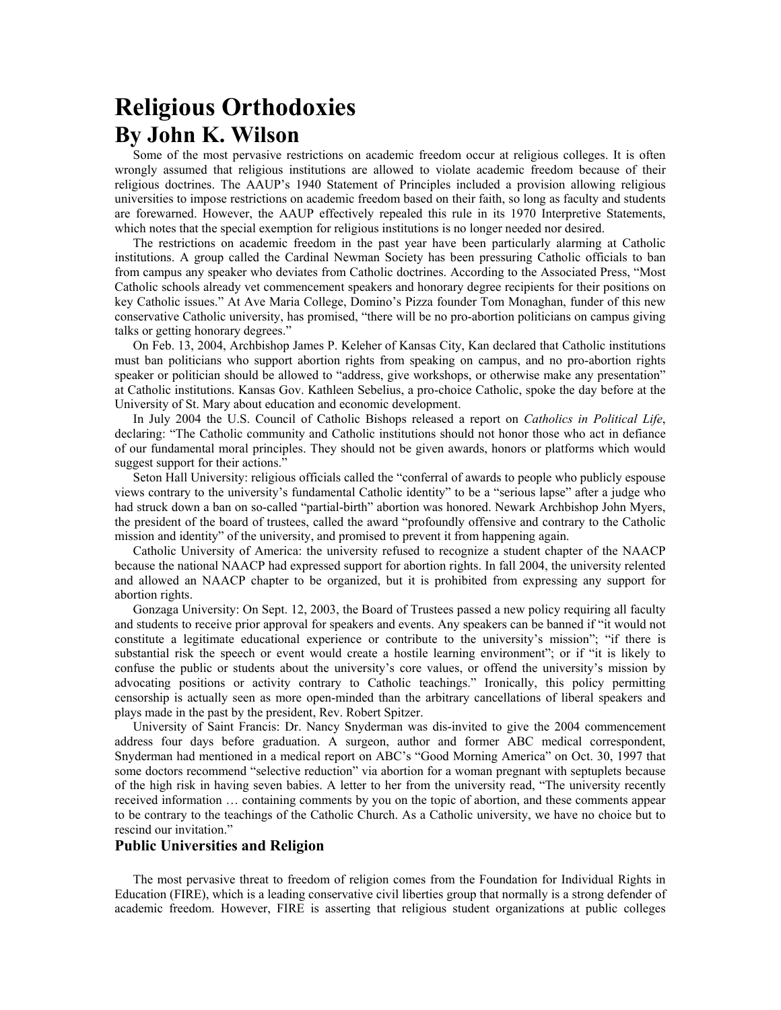## **Religious Orthodoxies By John K. Wilson**

Some of the most pervasive restrictions on academic freedom occur at religious colleges. It is often wrongly assumed that religious institutions are allowed to violate academic freedom because of their religious doctrines. The AAUP's 1940 Statement of Principles included a provision allowing religious universities to impose restrictions on academic freedom based on their faith, so long as faculty and students are forewarned. However, the AAUP effectively repealed this rule in its 1970 Interpretive Statements, which notes that the special exemption for religious institutions is no longer needed nor desired.

The restrictions on academic freedom in the past year have been particularly alarming at Catholic institutions. A group called the Cardinal Newman Society has been pressuring Catholic officials to ban from campus any speaker who deviates from Catholic doctrines. According to the Associated Press, "Most Catholic schools already vet commencement speakers and honorary degree recipients for their positions on key Catholic issues." At Ave Maria College, Domino's Pizza founder Tom Monaghan, funder of this new conservative Catholic university, has promised, "there will be no pro-abortion politicians on campus giving talks or getting honorary degrees."

On Feb. 13, 2004, Archbishop James P. Keleher of Kansas City, Kan declared that Catholic institutions must ban politicians who support abortion rights from speaking on campus, and no pro-abortion rights speaker or politician should be allowed to "address, give workshops, or otherwise make any presentation" at Catholic institutions. Kansas Gov. Kathleen Sebelius, a pro-choice Catholic, spoke the day before at the University of St. Mary about education and economic development.

In July 2004 the U.S. Council of Catholic Bishops released a report on *Catholics in Political Life*, declaring: "The Catholic community and Catholic institutions should not honor those who act in defiance of our fundamental moral principles. They should not be given awards, honors or platforms which would suggest support for their actions."

Seton Hall University: religious officials called the "conferral of awards to people who publicly espouse views contrary to the university's fundamental Catholic identity" to be a "serious lapse" after a judge who had struck down a ban on so-called "partial-birth" abortion was honored. Newark Archbishop John Myers, the president of the board of trustees, called the award "profoundly offensive and contrary to the Catholic mission and identity" of the university, and promised to prevent it from happening again.

Catholic University of America: the university refused to recognize a student chapter of the NAACP because the national NAACP had expressed support for abortion rights. In fall 2004, the university relented and allowed an NAACP chapter to be organized, but it is prohibited from expressing any support for abortion rights.

Gonzaga University: On Sept. 12, 2003, the Board of Trustees passed a new policy requiring all faculty and students to receive prior approval for speakers and events. Any speakers can be banned if "it would not constitute a legitimate educational experience or contribute to the university's mission"; "if there is substantial risk the speech or event would create a hostile learning environment"; or if "it is likely to confuse the public or students about the university's core values, or offend the university's mission by advocating positions or activity contrary to Catholic teachings." Ironically, this policy permitting censorship is actually seen as more open-minded than the arbitrary cancellations of liberal speakers and plays made in the past by the president, Rev. Robert Spitzer.

University of Saint Francis: Dr. Nancy Snyderman was dis-invited to give the 2004 commencement address four days before graduation. A surgeon, author and former ABC medical correspondent, Snyderman had mentioned in a medical report on ABC's "Good Morning America" on Oct. 30, 1997 that some doctors recommend "selective reduction" via abortion for a woman pregnant with septuplets because of the high risk in having seven babies. A letter to her from the university read, "The university recently received information … containing comments by you on the topic of abortion, and these comments appear to be contrary to the teachings of the Catholic Church. As a Catholic university, we have no choice but to rescind our invitation."

## **Public Universities and Religion**

The most pervasive threat to freedom of religion comes from the Foundation for Individual Rights in Education (FIRE), which is a leading conservative civil liberties group that normally is a strong defender of academic freedom. However, FIRE is asserting that religious student organizations at public colleges